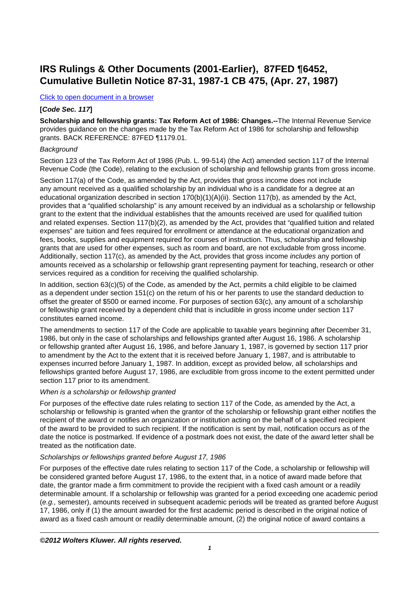# **IRS Rulings & Other Documents (2001-Earlier), 87FED ¶6452, Cumulative Bulletin Notice 87-31, 1987-1 CB 475, (Apr. 27, 1987)**

#### [Click to open document in a browser](http://prod.resource.cch.com/resource/scion/document/default/%28%40%40RCB01+1987-17IRB13%29rcb016a5513a7d0a47f48a110cb9baa0fcc1f?cfu=Legal)

# **[Code Sec. 117]**

**Scholarship and fellowship grants: Tax Reform Act of 1986: Changes.--**The Internal Revenue Service provides guidance on the changes made by the Tax Reform Act of 1986 for scholarship and fellowship grants. BACK REFERENCE: 87FED ¶1179.01.

# **Background**

Section 123 of the Tax Reform Act of 1986 (Pub. L. 99-514) (the Act) amended section 117 of the Internal Revenue Code (the Code), relating to the exclusion of scholarship and fellowship grants from gross income.

Section 117(a) of the Code, as amended by the Act, provides that gross income does not include any amount received as a qualified scholarship by an individual who is a candidate for a degree at an educational organization described in section 170(b)(1)(A)(ii). Section 117(b), as amended by the Act, provides that a "qualified scholarship" is any amount received by an individual as a scholarship or fellowship grant to the extent that the individual establishes that the amounts received are used for qualified tuition and related expenses. Section 117(b)(2), as amended by the Act, provides that "qualified tuition and related expenses" are tuition and fees required for enrollment or attendance at the educational organization and fees, books, supplies and equipment required for courses of instruction. Thus, scholarship and fellowship grants that are used for other expenses, such as room and board, are not excludable from gross income. Additionally, section 117(c), as amended by the Act, provides that gross income includes any portion of amounts received as a scholarship or fellowship grant representing payment for teaching, research or other services required as a condition for receiving the qualified scholarship.

In addition, section 63(c)(5) of the Code, as amended by the Act, permits a child eligible to be claimed as a dependent under section 151(c) on the return of his or her parents to use the standard deduction to offset the greater of \$500 or earned income. For purposes of section 63(c), any amount of a scholarship or fellowship grant received by a dependent child that is includible in gross income under section 117 constitutes earned income.

The amendments to section 117 of the Code are applicable to taxable years beginning after December 31, 1986, but only in the case of scholarships and fellowships granted after August 16, 1986. A scholarship or fellowship granted after August 16, 1986, and before January 1, 1987, is governed by section 117 prior to amendment by the Act to the extent that it is received before January 1, 1987, and is attributable to expenses incurred before January 1, 1987. In addition, except as provided below, all scholarships and fellowships granted before August 17, 1986, are excludible from gross income to the extent permitted under section 117 prior to its amendment.

## When is a scholarship or fellowship granted

For purposes of the effective date rules relating to section 117 of the Code, as amended by the Act, a scholarship or fellowship is granted when the grantor of the scholarship or fellowship grant either notifies the recipient of the award or notifies an organization or institution acting on the behalf of a specified recipient of the award to be provided to such recipient. If the notification is sent by mail, notification occurs as of the date the notice is postmarked. If evidence of a postmark does not exist, the date of the award letter shall be treated as the notification date.

## Scholarships or fellowships granted before August 17, 1986

For purposes of the effective date rules relating to section 117 of the Code, a scholarship or fellowship will be considered granted before August 17, 1986, to the extent that, in a notice of award made before that date, the grantor made a firm commitment to provide the recipient with a fixed cash amount or a readily determinable amount. If a scholarship or fellowship was granted for a period exceeding one academic period (e.g., semester), amounts received in subsequent academic periods will be treated as granted before August 17, 1986, only if (1) the amount awarded for the first academic period is described in the original notice of award as a fixed cash amount or readily determinable amount, (2) the original notice of award contains a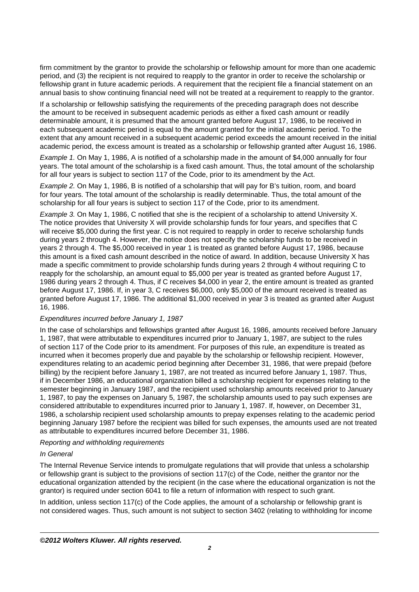firm commitment by the grantor to provide the scholarship or fellowship amount for more than one academic period, and (3) the recipient is not required to reapply to the grantor in order to receive the scholarship or fellowship grant in future academic periods. A requirement that the recipient file a financial statement on an annual basis to show continuing financial need will not be treated at a requirement to reapply to the grantor.

If a scholarship or fellowship satisfying the requirements of the preceding paragraph does not describe the amount to be received in subsequent academic periods as either a fixed cash amount or readily determinable amount, it is presumed that the amount granted before August 17, 1986, to be received in each subsequent academic period is equal to the amount granted for the initial academic period. To the extent that any amount received in a subsequent academic period exceeds the amount received in the initial academic period, the excess amount is treated as a scholarship or fellowship granted after August 16, 1986.

Example 1. On May 1, 1986, A is notified of a scholarship made in the amount of \$4,000 annually for four years. The total amount of the scholarship is a fixed cash amount. Thus, the total amount of the scholarship for all four years is subject to section 117 of the Code, prior to its amendment by the Act.

Example 2. On May 1, 1986, B is notified of a scholarship that will pay for B's tuition, room, and board for four years. The total amount of the scholarship is readily determinable. Thus, the total amount of the scholarship for all four years is subject to section 117 of the Code, prior to its amendment.

Example 3. On May 1, 1986. C notified that she is the recipient of a scholarship to attend University X. The notice provides that University X will provide scholarship funds for four years, and specifies that C will receive \$5,000 during the first year. C is not required to reapply in order to receive scholarship funds during years 2 through 4. However, the notice does not specify the scholarship funds to be received in years 2 through 4. The \$5,000 received in year 1 is treated as granted before August 17, 1986, because this amount is a fixed cash amount described in the notice of award. In addition, because University X has made a specific commitment to provide scholarship funds during years 2 through 4 without requiring C to reapply for the scholarship, an amount equal to \$5,000 per year is treated as granted before August 17, 1986 during years 2 through 4. Thus, if C receives \$4,000 in year 2, the entire amount is treated as granted before August 17, 1986. If, in year 3, C receives \$6,000, only \$5,000 of the amount received is treated as granted before August 17, 1986. The additional \$1,000 received in year 3 is treated as granted after August 16, 1986.

## Expenditures incurred before January 1, 1987

In the case of scholarships and fellowships granted after August 16, 1986, amounts received before January 1, 1987, that were attributable to expenditures incurred prior to January 1, 1987, are subject to the rules of section 117 of the Code prior to its amendment. For purposes of this rule, an expenditure is treated as incurred when it becomes properly due and payable by the scholarship or fellowship recipient. However, expenditures relating to an academic period beginning after December 31, 1986, that were prepaid (before billing) by the recipient before January 1, 1987, are not treated as incurred before January 1, 1987. Thus, if in December 1986, an educational organization billed a scholarship recipient for expenses relating to the semester beginning in January 1987, and the recipient used scholarship amounts received prior to January 1, 1987, to pay the expenses on January 5, 1987, the scholarship amounts used to pay such expenses are considered attributable to expenditures incurred prior to January 1, 1987. If, however, on December 31, 1986, a scholarship recipient used scholarship amounts to prepay expenses relating to the academic period beginning January 1987 before the recipient was billed for such expenses, the amounts used are not treated as attributable to expenditures incurred before December 31, 1986.

#### Reporting and withholding requirements

## In General

The Internal Revenue Service intends to promulgate regulations that will provide that unless a scholarship or fellowship grant is subject to the provisions of section 117(c) of the Code, neither the grantor nor the educational organization attended by the recipient (in the case where the educational organization is not the grantor) is required under section 6041 to file a return of information with respect to such grant.

In addition, unless section 117(c) of the Code applies, the amount of a scholarship or fellowship grant is not considered wages. Thus, such amount is not subject to section 3402 (relating to withholding for income